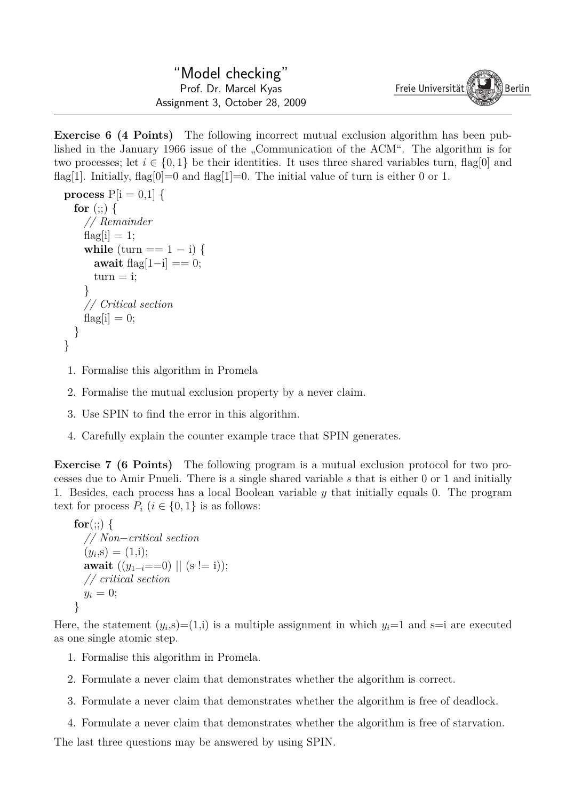**Exercise 6 (4 Points)** The following incorrect mutual exclusion algorithm has been published in the January 1966 issue of the "Communication of the ACM". The algorithm is for two processes; let  $i \in \{0,1\}$  be their identities. It uses three shared variables turn, flag[0] and flag[1]. Initially, flag[0]=0 and flag[1]=0. The initial value of turn is either 0 or 1.

```
process P[i = 0,1] {
  for (;;) {
    // Remainder
    flag[i] = 1;while (turn == 1 - i) {
      await flag[1−i] == 0;
      turn = i;
    }
    // Critical section
    flag[i] = 0;}
}
```
- 1. Formalise this algorithm in Promela
- 2. Formalise the mutual exclusion property by a never claim.
- 3. Use SPIN to find the error in this algorithm.
- 4. Carefully explain the counter example trace that SPIN generates.

**Exercise 7 (6 Points)** The following program is a mutual exclusion protocol for two processes due to Amir Pnueli. There is a single shared variable *s* that is either 0 or 1 and initially 1. Besides, each process has a local Boolean variable *y* that initially equals 0. The program text for process  $P_i$  ( $i \in \{0,1\}$ ) is as follows:

```
\mathbf{for}(:;) \{// Non−critical section
  (y_i, s) = (1,i);await ((y_{1-i} == 0) || (s != i));// critical section
  y_i = 0;}
```
Here, the statement  $(y_i, s) = (1, i)$  is a multiple assignment in which  $y_i = 1$  and  $s = i$  are executed as one single atomic step.

- 1. Formalise this algorithm in Promela.
- 2. Formulate a never claim that demonstrates whether the algorithm is correct.
- 3. Formulate a never claim that demonstrates whether the algorithm is free of deadlock.

4. Formulate a never claim that demonstrates whether the algorithm is free of starvation. The last three questions may be answered by using SPIN.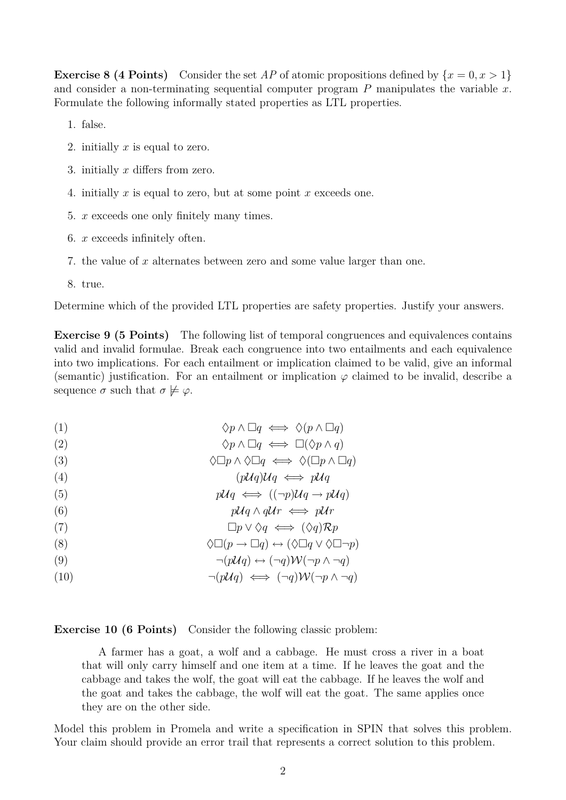**Exercise 8 (4 Points)** Consider the set *AP* of atomic propositions defined by  $\{x = 0, x > 1\}$ and consider a non-terminating sequential computer program *P* manipulates the variable *x*. Formulate the following informally stated properties as LTL properties.

- 1. false.
- 2. initially *x* is equal to zero.
- 3. initially *x* differs from zero.
- 4. initially *x* is equal to zero, but at some point *x* exceeds one.
- 5. *x* exceeds one only finitely many times.
- 6. *x* exceeds infinitely often.
- 7. the value of *x* alternates between zero and some value larger than one.
- 8. true.

Determine which of the provided LTL properties are safety properties. Justify your answers.

**Exercise 9 (5 Points)** The following list of temporal congruences and equivalences contains valid and invalid formulae. Break each congruence into two entailments and each equivalence into two implications. For each entailment or implication claimed to be valid, give an informal (semantic) justification. For an entailment or implication  $\varphi$  claimed to be invalid, describe a sequence  $\sigma$  such that  $\sigma \not\models \varphi$ .

- (1)  $\Diamond p \land \Box q \iff \Diamond (p \land \Box q)$
- (2)  $\Diamond p \land \Box q \iff \Box(\Diamond p \land q)$
- (3)  $\Diamond \Box p \land \Diamond \Box q \iff \Diamond (\Box p \land \Box q)$
- (4)  $\left(\frac{pUq}{Uq} \right) \leq \frac{pUq}{Q}$
- (5)  $p\mathcal{U}q \iff ((\neg p)\mathcal{U}q \rightarrow p\mathcal{U}q)$
- (6)  $p\mathcal{U}q \wedge q\mathcal{U}r \iff p\mathcal{U}r$
- (7)  $\Box p \lor \Diamond q \iff (\Diamond q) \mathcal{R} p$
- (8)  $\Diamond \Box (p \rightarrow \Box q) \leftrightarrow (\Diamond \Box q \vee \Diamond \Box \neg p)$
- (9)  $\neg (p\mathcal{U}q) \leftrightarrow (\neg q)\mathcal{W}(\neg p \land \neg q)$
- (10)  $\neg (p \mathcal{U}q) \iff (\neg q) \mathcal{W}(\neg p \land \neg q)$

**Exercise 10 (6 Points)** Consider the following classic problem:

A farmer has a goat, a wolf and a cabbage. He must cross a river in a boat that will only carry himself and one item at a time. If he leaves the goat and the cabbage and takes the wolf, the goat will eat the cabbage. If he leaves the wolf and the goat and takes the cabbage, the wolf will eat the goat. The same applies once they are on the other side.

Model this problem in Promela and write a specification in SPIN that solves this problem. Your claim should provide an error trail that represents a correct solution to this problem.